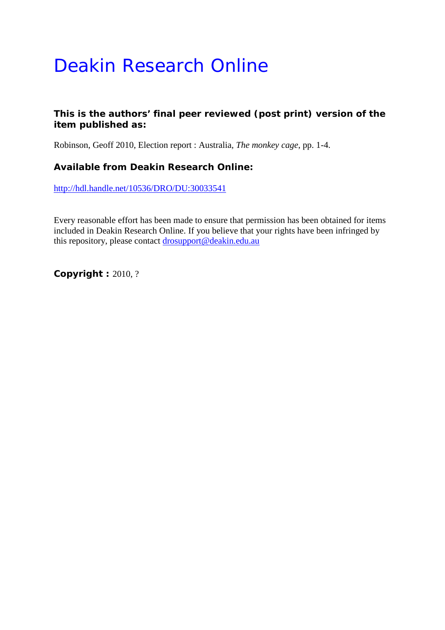## Deakin Research Online

## **This is the authors' final peer reviewed (post print) version of the item published as:**

Robinson, Geoff 2010, Election report : Australia*, The monkey cage*, pp. 1-4.

## **Available from Deakin Research Online:**

<http://hdl.handle.net/10536/DRO/DU:30033541>

Every reasonable effort has been made to ensure that permission has been obtained for items included in Deakin Research Online. If you believe that your rights have been infringed by this repository, please contact [drosupport@deakin.edu.au](mailto:drosupport@deakin.edu.au)

**Copyright :** 2010, ?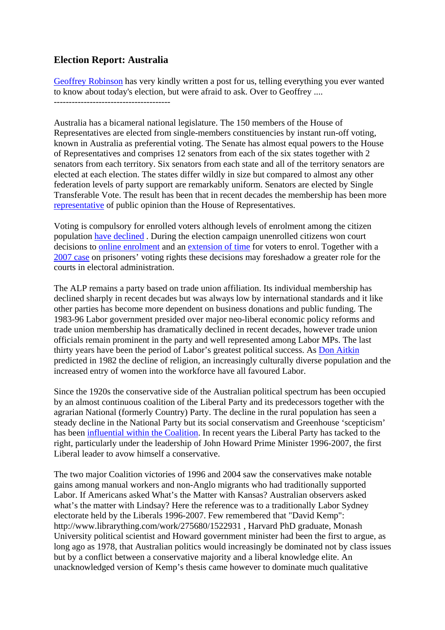## **Election Report: Australia**

[Geoffrey Robinson](http://www.deakin.edu.au/arts-ed/shhs/staff-directory2.php?username=geoffr) has very kindly written a post for us, telling everything you ever wanted to know about today's election, but were afraid to ask. Over to Geoffrey ....

Australia has a bicameral national legislature. The 150 members of the House of Representatives are elected from single-members constituencies by instant run-off voting, known in Australia as preferential voting. The Senate has almost equal powers to the House of Representatives and comprises 12 senators from each of the six states together with 2 senators from each territory. Six senators from each state and all of the territory senators are elected at each election. The states differ wildly in size but compared to almost any other federation levels of party support are remarkably uniform. Senators are elected by Single Transferable Vote. The result has been that in recent decades the membership has been more [representative](http://www.informaworld.com/smpp/content%7Edb=all%7Econtent=a713649270) of public opinion than the House of Representatives.

Voting is compulsory for enrolled voters although levels of enrolment among the citizen population [have declined](http://www.democraticaudit.anu.edu.au/papers/20070620brentjackmanaecroll.pdf) . During the election campaign unenrolled citizens won court decisions to [online enrolment](http://inside.org.au/voting-rights-round-two-to-getup/) and an [extension of time](http://inside.org.au/court-by-surprise-the-high-court-upholds-voting-rights/) for voters to enrol. Together with a [2007 case](http://www.austlii.edu.au/au/cases/cth/HCA/2007/43.html) on prisoners' voting rights these decisions may foreshadow a greater role for the courts in electoral administration.

The ALP remains a party based on trade union affiliation. Its individual membership has declined sharply in recent decades but was always low by international standards and it like other parties has become more dependent on business donations and public funding. The 1983-96 Labor government presided over major neo-liberal economic policy reforms and trade union membership has dramatically declined in recent decades, however trade union officials remain prominent in the party and well represented among Labor MPs. The last thirty years have been the period of Labor's greatest political success. As [Don Aitkin](http://www.librarything.com/work/275691/1539276) predicted in 1982 the decline of religion, an increasingly culturally diverse population and the increased entry of women into the workforce have all favoured Labor.

Since the 1920s the conservative side of the Australian political spectrum has been occupied by an almost continuous coalition of the Liberal Party and its predecessors together with the agrarian National (formerly Country) Party. The decline in the rural population has seen a steady decline in the National Party but its social conservatism and Greenhouse 'scepticism' has been [influential within the Coalition.](http://www.aph.org.au/blog/?p=39) In recent years the Liberal Party has tacked to the right, particularly under the leadership of John Howard Prime Minister 1996-2007, the first Liberal leader to avow himself a conservative.

The two major Coalition victories of 1996 and 2004 saw the conservatives make notable gains among manual workers and non-Anglo migrants who had traditionally supported Labor. If Americans asked What's the Matter with Kansas? Australian observers asked what's the matter with Lindsay? Here the reference was to a traditionally Labor Sydney electorate held by the Liberals 1996-2007. Few remembered that "David Kemp": http://www.librarything.com/work/275680/1522931 , Harvard PhD graduate, Monash University political scientist and Howard government minister had been the first to argue, as long ago as 1978, that Australian politics would increasingly be dominated not by class issues but by a conflict between a conservative majority and a liberal knowledge elite. An unacknowledged version of Kemp's thesis came however to dominate much qualitative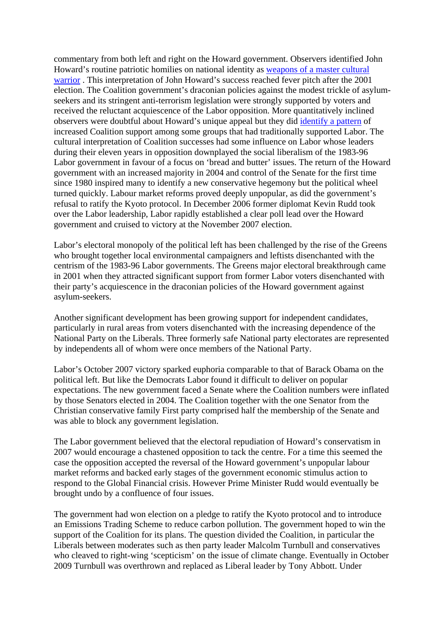commentary from both left and right on the Howard government. Observers identified John Howard's routine patriotic homilies on national identity as [weapons of a master cultural](http://www.informaworld.com/smpp/content%7Edb=all%7Econtent=a713649507)  [warrior](http://www.informaworld.com/smpp/content%7Edb=all%7Econtent=a713649507) . This interpretation of John Howard's success reached fever pitch after the 2001 election. The Coalition government's draconian policies against the modest trickle of asylumseekers and its stringent anti-terrorism legislation were strongly supported by voters and received the reluctant acquiescence of the Labor opposition. More quantitatively inclined observers were doubtful about Howard's unique appeal but they did [identify a pattern](http://www.sisr.net/apo/watson_bluecollar.pdf) of increased Coalition support among some groups that had traditionally supported Labor. The cultural interpretation of Coalition successes had some influence on Labor whose leaders during their eleven years in opposition downplayed the social liberalism of the 1983-96 Labor government in favour of a focus on 'bread and butter' issues. The return of the Howard government with an increased majority in 2004 and control of the Senate for the first time since 1980 inspired many to identify a new conservative hegemony but the political wheel turned quickly. Labour market reforms proved deeply unpopular, as did the government's refusal to ratify the Kyoto protocol. In December 2006 former diplomat Kevin Rudd took over the Labor leadership, Labor rapidly established a clear poll lead over the Howard government and cruised to victory at the November 2007 election.

Labor's electoral monopoly of the political left has been challenged by the rise of the Greens who brought together local environmental campaigners and leftists disenchanted with the centrism of the 1983-96 Labor governments. The Greens major electoral breakthrough came in 2001 when they attracted significant support from former Labor voters disenchanted with their party's acquiescence in the draconian policies of the Howard government against asylum-seekers.

Another significant development has been growing support for independent candidates, particularly in rural areas from voters disenchanted with the increasing dependence of the National Party on the Liberals. Three formerly safe National party electorates are represented by independents all of whom were once members of the National Party.

Labor's October 2007 victory sparked euphoria comparable to that of Barack Obama on the political left. But like the Democrats Labor found it difficult to deliver on popular expectations. The new government faced a Senate where the Coalition numbers were inflated by those Senators elected in 2004. The Coalition together with the one Senator from the Christian conservative family First party comprised half the membership of the Senate and was able to block any government legislation.

The Labor government believed that the electoral repudiation of Howard's conservatism in 2007 would encourage a chastened opposition to tack the centre. For a time this seemed the case the opposition accepted the reversal of the Howard government's unpopular labour market reforms and backed early stages of the government economic stimulus action to respond to the Global Financial crisis. However Prime Minister Rudd would eventually be brought undo by a confluence of four issues.

The government had won election on a pledge to ratify the Kyoto protocol and to introduce an Emissions Trading Scheme to reduce carbon pollution. The government hoped to win the support of the Coalition for its plans. The question divided the Coalition, in particular the Liberals between moderates such as then party leader Malcolm Turnbull and conservatives who cleaved to right-wing 'scepticism' on the issue of climate change. Eventually in October 2009 Turnbull was overthrown and replaced as Liberal leader by Tony Abbott. Under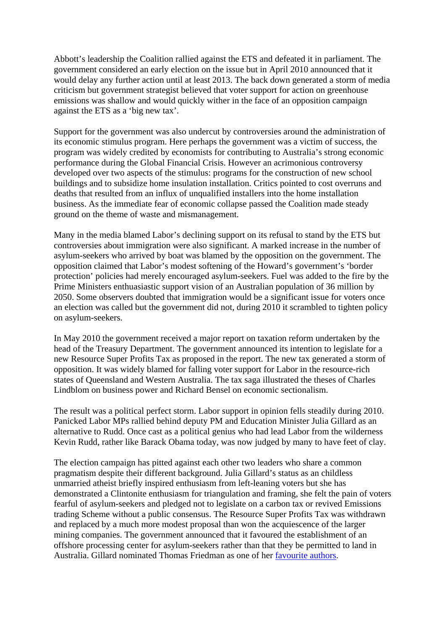Abbott's leadership the Coalition rallied against the ETS and defeated it in parliament. The government considered an early election on the issue but in April 2010 announced that it would delay any further action until at least 2013. The back down generated a storm of media criticism but government strategist believed that voter support for action on greenhouse emissions was shallow and would quickly wither in the face of an opposition campaign against the ETS as a 'big new tax'.

Support for the government was also undercut by controversies around the administration of its economic stimulus program. Here perhaps the government was a victim of success, the program was widely credited by economists for contributing to Australia's strong economic performance during the Global Financial Crisis. However an acrimonious controversy developed over two aspects of the stimulus: programs for the construction of new school buildings and to subsidize home insulation installation. Critics pointed to cost overruns and deaths that resulted from an influx of unqualified installers into the home installation business. As the immediate fear of economic collapse passed the Coalition made steady ground on the theme of waste and mismanagement.

Many in the media blamed Labor's declining support on its refusal to stand by the ETS but controversies about immigration were also significant. A marked increase in the number of asylum-seekers who arrived by boat was blamed by the opposition on the government. The opposition claimed that Labor's modest softening of the Howard's government's 'border protection' policies had merely encouraged asylum-seekers. Fuel was added to the fire by the Prime Ministers enthuasiastic support vision of an Australian population of 36 million by 2050. Some observers doubted that immigration would be a significant issue for voters once an election was called but the government did not, during 2010 it scrambled to tighten policy on asylum-seekers.

In May 2010 the government received a major report on taxation reform undertaken by the head of the Treasury Department. The government announced its intention to legislate for a new Resource Super Profits Tax as proposed in the report. The new tax generated a storm of opposition. It was widely blamed for falling voter support for Labor in the resource-rich states of Queensland and Western Australia. The tax saga illustrated the theses of Charles Lindblom on business power and Richard Bensel on economic sectionalism.

The result was a political perfect storm. Labor support in opinion fells steadily during 2010. Panicked Labor MPs rallied behind deputy PM and Education Minister Julia Gillard as an alternative to Rudd. Once cast as a political genius who had lead Labor from the wilderness Kevin Rudd, rather like Barack Obama today, was now judged by many to have feet of clay.

The election campaign has pitted against each other two leaders who share a common pragmatism despite their different background. Julia Gillard's status as an childless unmarried atheist briefly inspired enthusiasm from left-leaning voters but she has demonstrated a Clintonite enthusiasm for triangulation and framing, she felt the pain of voters fearful of asylum-seekers and pledged not to legislate on a carbon tax or revived Emissions trading Scheme without a public consensus. The Resource Super Profits Tax was withdrawn and replaced by a much more modest proposal than won the acquiescence of the larger mining companies. The government announced that it favoured the establishment of an offshore processing center for asylum-seekers rather than that they be permitted to land in Australia. Gillard nominated Thomas Friedman as one of her [favourite authors.](http://people.anu.edu.au/andrew.leigh/pdf/PowerReaders_tables.pdf)